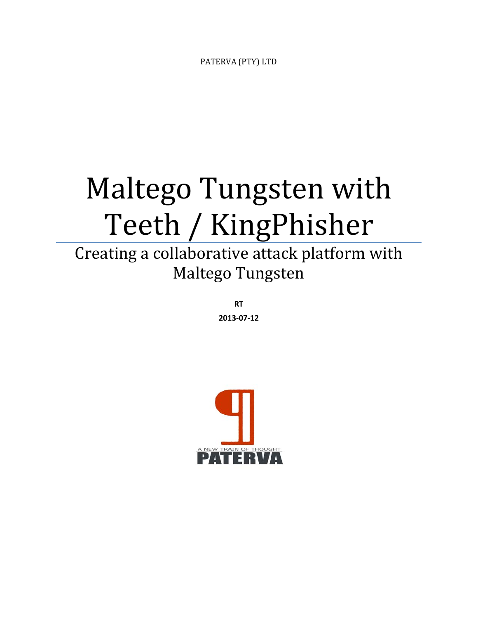PATERVA (PTY) LTD

# Maltego Tungsten with Teeth / KingPhisher

Creating a collaborative attack platform with Maltego Tungsten 

> **RT 2013‐07‐12**

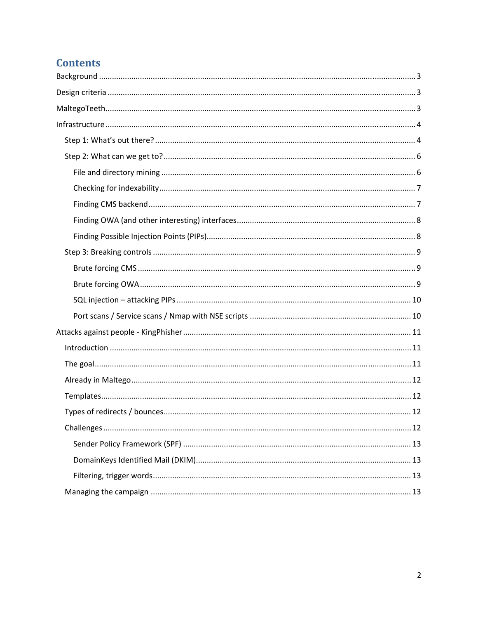# **Contents**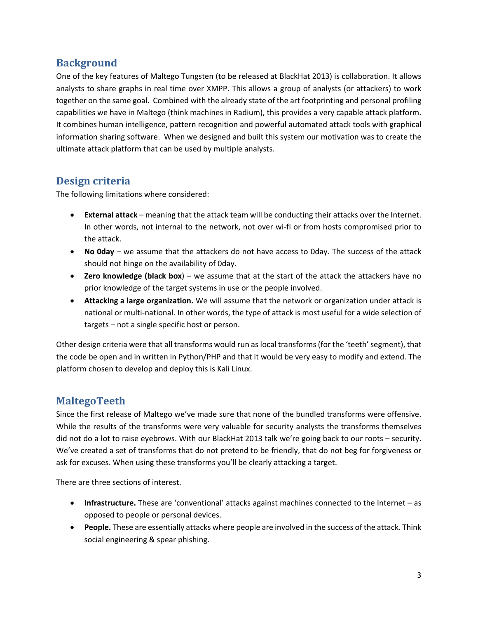## **Background**

One of the key features of Maltego Tungsten (to be released at BlackHat 2013) is collaboration. It allows analysts to share graphs in real time over XMPP. This allows a group of analysts (or attackers) to work together on the same goal. Combined with the already state of the art footprinting and personal profiling capabilities we have in Maltego (think machines in Radium), this provides a very capable attack platform. It combines human intelligence, pattern recognition and powerful automated attack tools with graphical information sharing software. When we designed and built this system our motivation was to create the ultimate attack platform that can be used by multiple analysts.

## **Design criteria**

The following limitations where considered:

- **External attack** meaning that the attack team will be conducting their attacks over the Internet. In other words, not internal to the network, not over wi‐fi or from hosts compromised prior to the attack.
- **No 0day** we assume that the attackers do not have access to 0day. The success of the attack should not hinge on the availability of 0day.
- **Zero knowledge (black box**) we assume that at the start of the attack the attackers have no prior knowledge of the target systems in use or the people involved.
- **Attacking a large organization.** We will assume that the network or organization under attack is national or multi‐national. In other words, the type of attack is most useful for a wide selection of targets – not a single specific host or person.

Other design criteria were that all transforms would run as local transforms(for the 'teeth'segment), that the code be open and in written in Python/PHP and that it would be very easy to modify and extend. The platform chosen to develop and deploy this is Kali Linux.

## **MaltegoTeeth**

Since the first release of Maltego we've made sure that none of the bundled transforms were offensive. While the results of the transforms were very valuable for security analysts the transforms themselves did not do a lot to raise eyebrows. With our BlackHat 2013 talk we're going back to our roots – security. We've created a set of transforms that do not pretend to be friendly, that do not beg for forgiveness or ask for excuses. When using these transforms you'll be clearly attacking a target.

There are three sections of interest.

- **Infrastructure.** These are 'conventional' attacks against machines connected to the Internet as opposed to people or personal devices.
- **People.** These are essentially attacks where people are involved in the success of the attack. Think social engineering & spear phishing.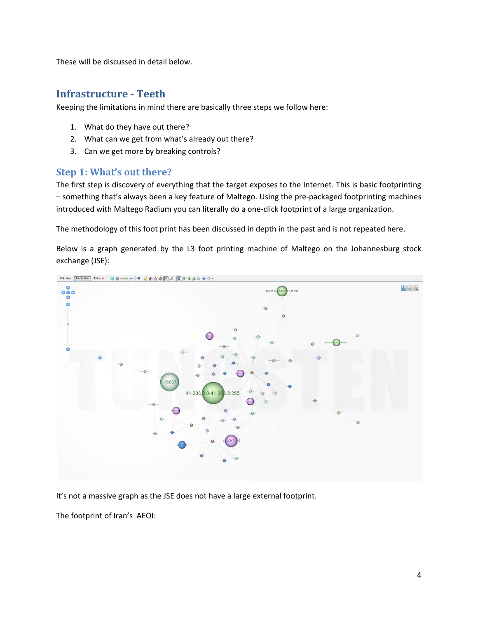These will be discussed in detail below.

## **Infrastructure ‐ Teeth**

Keeping the limitations in mind there are basically three steps we follow here:

- 1. What do they have out there?
- 2. What can we get from what's already out there?
- 3. Can we get more by breaking controls?

#### **Step 1: What's out there?**

The first step is discovery of everything that the target exposes to the Internet. This is basic footprinting – something that's always been a key feature of Maltego. Using the pre‐packaged footprinting machines introduced with Maltego Radium you can literally do a one‐click footprint of a large organization.

The methodology of this foot print has been discussed in depth in the past and is not repeated here.

Below is a graph generated by the L3 foot printing machine of Maltego on the Johannesburg stock exchange (JSE):



It's not a massive graph as the JSE does not have a large external footprint.

The footprint of Iran's AEOI: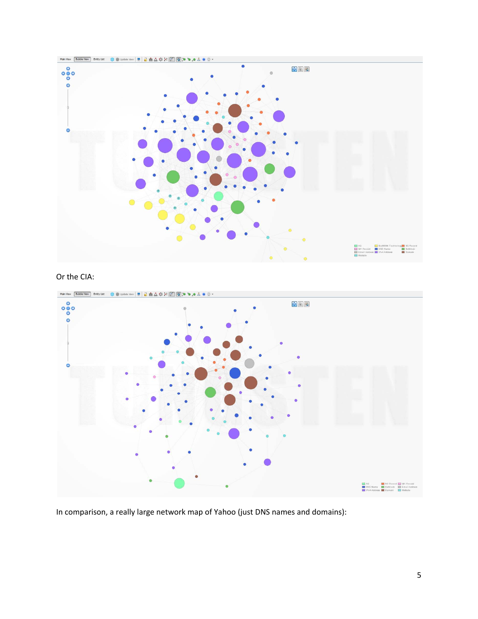

#### Or the CIA:



In comparison, a really large network map of Yahoo (just DNS names and domains):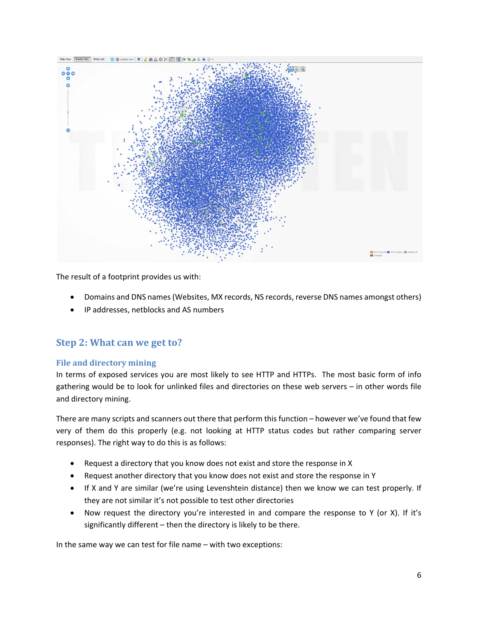

The result of a footprint provides us with:

- Domains and DNS names(Websites, MX records, NS records, reverse DNS names amongst others)
- IP addresses, netblocks and AS numbers

#### **Step 2: What can we get to?**

#### **File and directory mining**

In terms of exposed services you are most likely to see HTTP and HTTPs. The most basic form of info gathering would be to look for unlinked files and directories on these web servers – in other words file and directory mining.

There are many scripts and scanners out there that perform this function – however we've found that few very of them do this properly (e.g. not looking at HTTP status codes but rather comparing server responses). The right way to do this is as follows:

- Request a directory that you know does not exist and store the response in X
- Request another directory that you know does not exist and store the response in Y
- If X and Y are similar (we're using Levenshtein distance) then we know we can test properly. If they are not similar it's not possible to test other directories
- Now request the directory you're interested in and compare the response to Y (or X). If it's significantly different – then the directory is likely to be there.

In the same way we can test for file name – with two exceptions: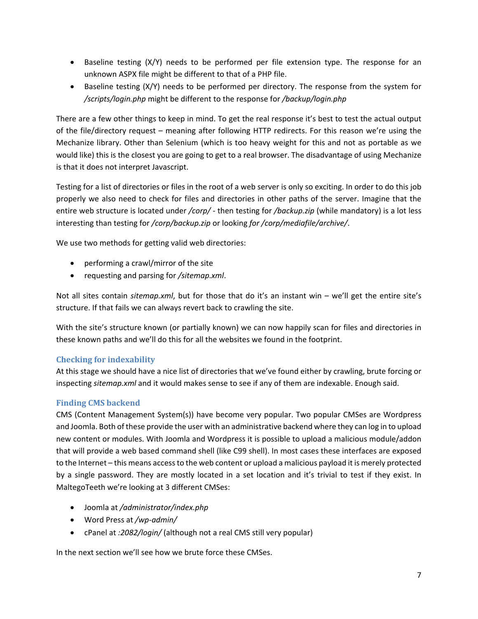- Baseline testing (X/Y) needs to be performed per file extension type. The response for an unknown ASPX file might be different to that of a PHP file.
- Baseline testing (X/Y) needs to be performed per directory. The response from the system for */scripts/login.php* might be different to the response for */backup/login.php*

There are a few other things to keep in mind. To get the real response it's best to test the actual output of the file/directory request – meaning after following HTTP redirects. For this reason we're using the Mechanize library. Other than Selenium (which is too heavy weight for this and not as portable as we would like) this is the closest you are going to get to a real browser. The disadvantage of using Mechanize is that it does not interpret Javascript.

Testing for a list of directories or files in the root of a web server is only so exciting. In order to do this job properly we also need to check for files and directories in other paths of the server. Imagine that the entire web structure is located under */corp/* ‐ then testing for */backup.zip* (while mandatory) is a lot less interesting than testing for */corp/backup.zip* or looking *for /corp/mediafile/archive/*.

We use two methods for getting valid web directories:

- performing a crawl/mirror of the site
- requesting and parsing for */sitemap.xml*.

Not all sites contain *sitemap.xml*, but for those that do it's an instant win – we'll get the entire site's structure. If that fails we can always revert back to crawling the site.

With the site's structure known (or partially known) we can now happily scan for files and directories in these known paths and we'll do this for all the websites we found in the footprint.

#### **Checking for indexability**

At this stage we should have a nice list of directories that we've found either by crawling, brute forcing or inspecting *sitemap.xml* and it would makes sense to see if any of them are indexable. Enough said.

#### **Finding CMS backend**

CMS (Content Management System(s)) have become very popular. Two popular CMSes are Wordpress and Joomla. Both of these provide the user with an administrative backend where they can log in to upload new content or modules. With Joomla and Wordpress it is possible to upload a malicious module/addon that will provide a web based command shell (like C99 shell). In most cases these interfaces are exposed to the Internet – this means accessto the web content or upload a malicious payload it is merely protected by a single password. They are mostly located in a set location and it's trivial to test if they exist. In MaltegoTeeth we're looking at 3 different CMSes:

- Joomla at */administrator/index.php*
- Word Press at */wp‐admin/*
- cPanel at *:2082/login/* (although not a real CMS still very popular)

In the next section we'll see how we brute force these CMSes.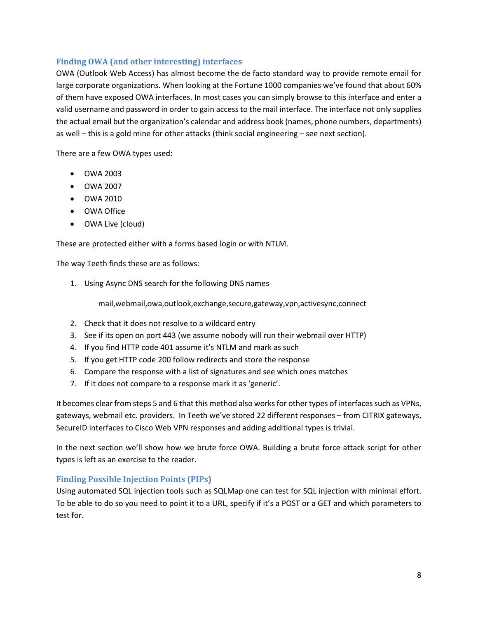#### **Finding OWA (and other interesting) interfaces**

OWA (Outlook Web Access) has almost become the de facto standard way to provide remote email for large corporate organizations. When looking at the Fortune 1000 companies we've found that about 60% of them have exposed OWA interfaces. In most cases you can simply browse to this interface and enter a valid username and password in order to gain access to the mail interface. The interface not only supplies the actual email but the organization's calendar and address book (names, phone numbers, departments) as well – this is a gold mine for other attacks (think social engineering – see next section).

There are a few OWA types used:

- $\bullet$   $\bigcirc$  OWA 2003
- OWA 2007
- OWA 2010
- OWA Office
- OWA Live (cloud)

These are protected either with a forms based login or with NTLM.

The way Teeth finds these are as follows:

1. Using Async DNS search for the following DNS names

mail,webmail,owa,outlook,exchange,secure,gateway,vpn,activesync,connect

- 2. Check that it does not resolve to a wildcard entry
- 3. See if its open on port 443 (we assume nobody will run their webmail over HTTP)
- 4. If you find HTTP code 401 assume it's NTLM and mark as such
- 5. If you get HTTP code 200 follow redirects and store the response
- 6. Compare the response with a list of signatures and see which ones matches
- 7. If it does not compare to a response mark it as 'generic'.

It becomes clear from steps 5 and 6 that this method also works for other types of interfaces such as VPNs, gateways, webmail etc. providers. In Teeth we've stored 22 different responses – from CITRIX gateways, SecureID interfaces to Cisco Web VPN responses and adding additional types is trivial.

In the next section we'll show how we brute force OWA. Building a brute force attack script for other types is left as an exercise to the reader.

#### **Finding Possible Injection Points (PIPs)**

Using automated SQL injection tools such as SQLMap one can test for SQL injection with minimal effort. To be able to do so you need to point it to a URL, specify if it's a POST or a GET and which parameters to test for.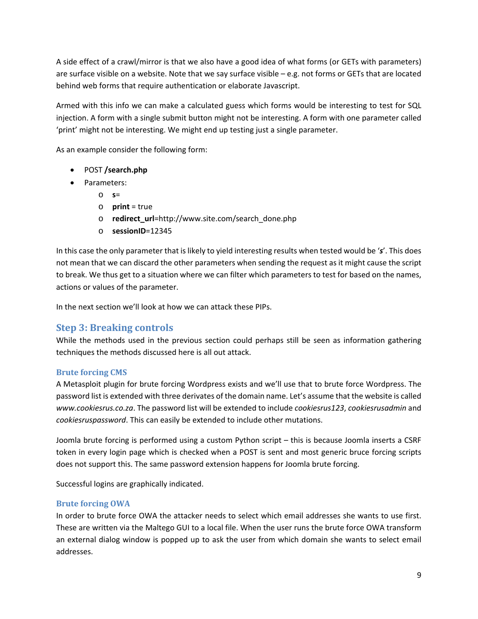A side effect of a crawl/mirror is that we also have a good idea of what forms (or GETs with parameters) are surface visible on a website. Note that we say surface visible – e.g. not forms or GETs that are located behind web forms that require authentication or elaborate Javascript.

Armed with this info we can make a calculated guess which forms would be interesting to test for SQL injection. A form with a single submit button might not be interesting. A form with one parameter called 'print' might not be interesting. We might end up testing just a single parameter.

As an example consider the following form:

- POST **/search.php**
- Parameters:
	- o **s**=
	- o **print** = true
	- o **redirect\_url**=http://www.site.com/search\_done.php
	- o **sessionID**=12345

In this case the only parameter that is likely to yield interesting results when tested would be '*s*'. This does not mean that we can discard the other parameters when sending the request as it might cause the script to break. We thus get to a situation where we can filter which parameters to test for based on the names, actions or values of the parameter.

In the next section we'll look at how we can attack these PIPs.

## **Step 3: Breaking controls**

While the methods used in the previous section could perhaps still be seen as information gathering techniques the methods discussed here is all out attack.

#### **Brute forcing CMS**

A Metasploit plugin for brute forcing Wordpress exists and we'll use that to brute force Wordpress. The password list is extended with three derivates of the domain name. Let's assume that the website is called *www.cookiesrus.co.za*. The password list will be extended to include *cookiesrus123*, *cookiesrusadmin* and *cookiesruspassword*. This can easily be extended to include other mutations.

Joomla brute forcing is performed using a custom Python script – this is because Joomla inserts a CSRF token in every login page which is checked when a POST is sent and most generic bruce forcing scripts does not support this. The same password extension happens for Joomla brute forcing.

Successful logins are graphically indicated.

#### **Brute forcing OWA**

In order to brute force OWA the attacker needs to select which email addresses she wants to use first. These are written via the Maltego GUI to a local file. When the user runs the brute force OWA transform an external dialog window is popped up to ask the user from which domain she wants to select email addresses.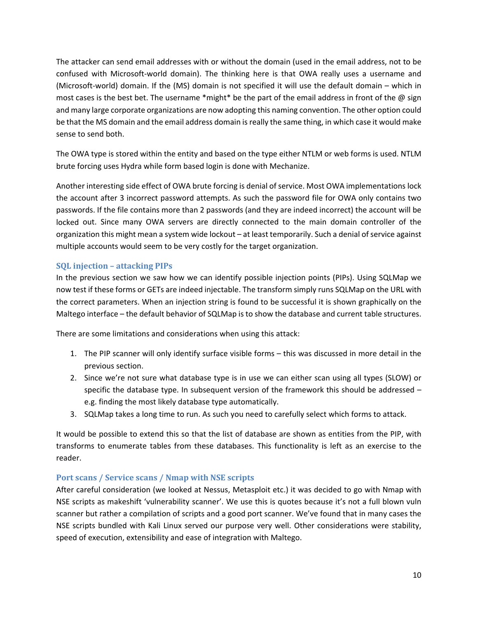The attacker can send email addresses with or without the domain (used in the email address, not to be confused with Microsoft‐world domain). The thinking here is that OWA really uses a username and (Microsoft‐world) domain. If the (MS) domain is not specified it will use the default domain – which in most cases is the best bet. The username \*might\* be the part of the email address in front of the @ sign and many large corporate organizations are now adopting this naming convention. The other option could be that the MS domain and the email address domain is really the same thing, in which case it would make sense to send both.

The OWA type is stored within the entity and based on the type either NTLM or web forms is used. NTLM brute forcing uses Hydra while form based login is done with Mechanize.

Another interesting side effect of OWA brute forcing is denial of service. Most OWA implementations lock the account after 3 incorrect password attempts. As such the password file for OWA only contains two passwords. If the file contains more than 2 passwords (and they are indeed incorrect) the account will be locked out. Since many OWA servers are directly connected to the main domain controller of the organization this might mean a system wide lockout – at least temporarily. Such a denial of service against multiple accounts would seem to be very costly for the target organization.

#### **SQL injection – attacking PIPs**

In the previous section we saw how we can identify possible injection points (PIPs). Using SQLMap we now test if these forms or GETs are indeed injectable. The transform simply runs SQLMap on the URL with the correct parameters. When an injection string is found to be successful it is shown graphically on the Maltego interface – the default behavior of SQLMap is to show the database and current table structures.

There are some limitations and considerations when using this attack:

- 1. The PIP scanner will only identify surface visible forms this was discussed in more detail in the previous section.
- 2. Since we're not sure what database type is in use we can either scan using all types (SLOW) or specific the database type. In subsequent version of the framework this should be addressed – e.g. finding the most likely database type automatically.
- 3. SQLMap takes a long time to run. As such you need to carefully select which forms to attack.

It would be possible to extend this so that the list of database are shown as entities from the PIP, with transforms to enumerate tables from these databases. This functionality is left as an exercise to the reader.

#### **Port scans / Service scans / Nmap with NSE scripts**

After careful consideration (we looked at Nessus, Metasploit etc.) it was decided to go with Nmap with NSE scripts as makeshift 'vulnerability scanner'. We use this is quotes because it's not a full blown vuln scanner but rather a compilation of scripts and a good port scanner. We've found that in many cases the NSE scripts bundled with Kali Linux served our purpose very well. Other considerations were stability, speed of execution, extensibility and ease of integration with Maltego.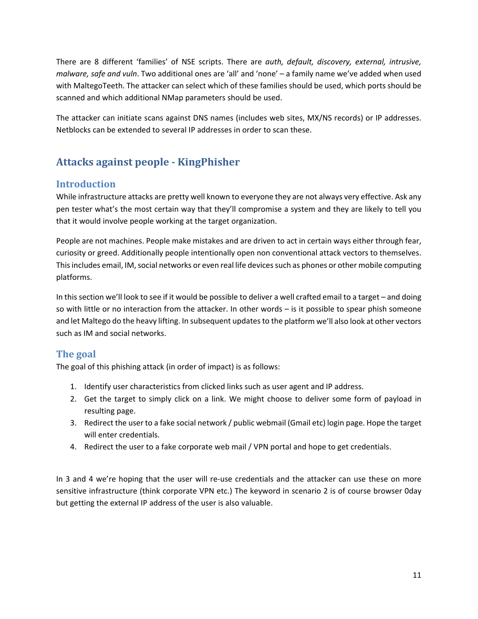There are 8 different 'families' of NSE scripts. There are *auth, default, discovery, external, intrusive, malware, safe and vuln*. Two additional ones are 'all' and 'none' – a family name we've added when used with MaltegoTeeth. The attacker can select which of these families should be used, which ports should be scanned and which additional NMap parameters should be used.

The attacker can initiate scans against DNS names (includes web sites, MX/NS records) or IP addresses. Netblocks can be extended to several IP addresses in order to scan these.

## **Attacks against people ‐ KingPhisher**

## **Introduction**

While infrastructure attacks are pretty well known to everyone they are not always very effective. Ask any pen tester what's the most certain way that they'll compromise a system and they are likely to tell you that it would involve people working at the target organization.

People are not machines. People make mistakes and are driven to act in certain ways either through fear, curiosity or greed. Additionally people intentionally open non conventional attack vectors to themselves. This includes email, IM, social networks or even real life devices such as phones or other mobile computing platforms.

In this section we'll look to see if it would be possible to deliver a well crafted email to a target – and doing so with little or no interaction from the attacker. In other words – is it possible to spear phish someone and let Maltego do the heavy lifting. In subsequent updates to the platform we'll also look at other vectors such as IM and social networks.

## **The goal**

The goal of this phishing attack (in order of impact) is as follows:

- 1. Identify user characteristics from clicked links such as user agent and IP address.
- 2. Get the target to simply click on a link. We might choose to deliver some form of payload in resulting page.
- 3. Redirect the user to a fake social network / public webmail (Gmail etc) login page. Hope the target will enter credentials.
- 4. Redirect the user to a fake corporate web mail / VPN portal and hope to get credentials.

In 3 and 4 we're hoping that the user will re-use credentials and the attacker can use these on more sensitive infrastructure (think corporate VPN etc.) The keyword in scenario 2 is of course browser 0day but getting the external IP address of the user is also valuable.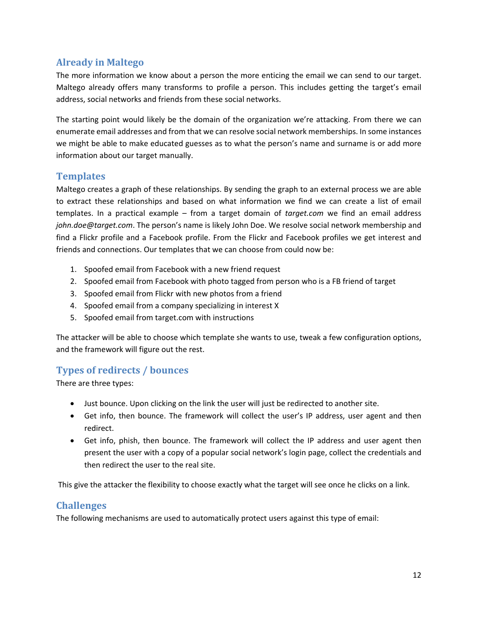## **Already in Maltego**

The more information we know about a person the more enticing the email we can send to our target. Maltego already offers many transforms to profile a person. This includes getting the target's email address, social networks and friends from these social networks.

The starting point would likely be the domain of the organization we're attacking. From there we can enumerate email addresses and from that we can resolve social network memberships. In some instances we might be able to make educated guesses as to what the person's name and surname is or add more information about our target manually.

## **Templates**

Maltego creates a graph of these relationships. By sending the graph to an external process we are able to extract these relationships and based on what information we find we can create a list of email templates. In a practical example – from a target domain of *target.com* we find an email address *john.doe@target.com*. The person's name is likely John Doe. We resolve social network membership and find a Flickr profile and a Facebook profile. From the Flickr and Facebook profiles we get interest and friends and connections. Our templates that we can choose from could now be:

- 1. Spoofed email from Facebook with a new friend request
- 2. Spoofed email from Facebook with photo tagged from person who is a FB friend of target
- 3. Spoofed email from Flickr with new photos from a friend
- 4. Spoofed email from a company specializing in interest X
- 5. Spoofed email from target.com with instructions

The attacker will be able to choose which template she wants to use, tweak a few configuration options, and the framework will figure out the rest.

## **Types of redirects / bounces**

There are three types:

- Just bounce. Upon clicking on the link the user will just be redirected to another site.
- Get info, then bounce. The framework will collect the user's IP address, user agent and then redirect.
- Get info, phish, then bounce. The framework will collect the IP address and user agent then present the user with a copy of a popular social network's login page, collect the credentials and then redirect the user to the real site.

This give the attacker the flexibility to choose exactly what the target will see once he clicks on a link.

#### **Challenges**

The following mechanisms are used to automatically protect users against this type of email: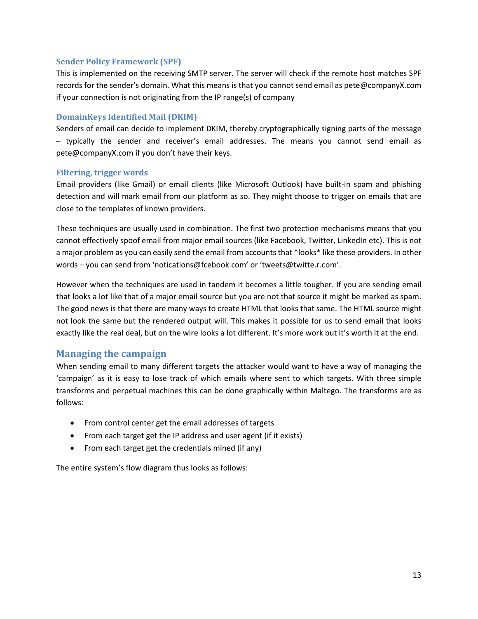#### **Sender Policy Framework (SPF)**

This is implemented on the receiving SMTP server. The server will check if the remote host matches SPF records for the sender's domain. What this means is that you cannot send email as pete@companyX.com if your connection is not originating from the IP range(s) of company

#### **DomainKeys Identified Mail (DKIM)**

Senders of email can decide to implement DKIM, thereby cryptographically signing parts of the message – typically the sender and receiver's email addresses. The means you cannot send email as pete@companyX.com if you don't have their keys.

#### **Filtering, trigger words**

Email providers (like Gmail) or email clients (like Microsoft Outlook) have built‐in spam and phishing detection and will mark email from our platform as so. They might choose to trigger on emails that are close to the templates of known providers.

These techniques are usually used in combination. The first two protection mechanisms means that you cannot effectively spoof email from major email sources (like Facebook, Twitter, LinkedIn etc). This is not a major problem as you can easily send the email from accounts that \*looks\* like these providers. In other words – you can send from 'notications@fcebook.com' or 'tweets@twitte.r.com'.

However when the techniques are used in tandem it becomes a little tougher. If you are sending email that looks a lot like that of a major email source but you are not that source it might be marked as spam. The good news is that there are many ways to create HTML that looks that same. The HTML source might not look the same but the rendered output will. This makes it possible for us to send email that looks exactly like the real deal, but on the wire looks a lot different. It's more work but it's worth it at the end.

#### **Managing the campaign**

When sending email to many different targets the attacker would want to have a way of managing the 'campaign' as it is easy to lose track of which emails where sent to which targets. With three simple transforms and perpetual machines this can be done graphically within Maltego. The transforms are as follows:

- From control center get the email addresses of targets
- From each target get the IP address and user agent (if it exists)
- From each target get the credentials mined (if any)

The entire system's flow diagram thus looks as follows: